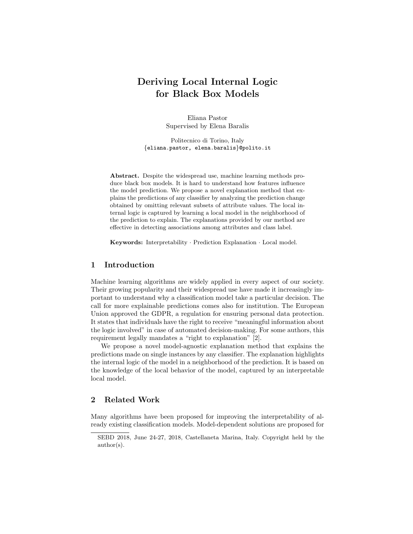# Deriving Local Internal Logic for Black Box Models

Eliana Pastor Supervised by Elena Baralis

Politecnico di Torino, Italy {eliana.pastor, elena.baralis}@polito.it

Abstract. Despite the widespread use, machine learning methods produce black box models. It is hard to understand how features influence the model prediction. We propose a novel explanation method that explains the predictions of any classifier by analyzing the prediction change obtained by omitting relevant subsets of attribute values. The local internal logic is captured by learning a local model in the neighborhood of the prediction to explain. The explanations provided by our method are effective in detecting associations among attributes and class label.

Keywords: Interpretability · Prediction Explanation · Local model.

## 1 Introduction

Machine learning algorithms are widely applied in every aspect of our society. Their growing popularity and their widespread use have made it increasingly important to understand why a classification model take a particular decision. The call for more explainable predictions comes also for institution. The European Union approved the GDPR, a regulation for ensuring personal data protection. It states that individuals have the right to receive "meaningful information about the logic involved" in case of automated decision-making. For some authors, this requirement legally mandates a "right to explanation" [2].

We propose a novel model-agnostic explanation method that explains the predictions made on single instances by any classifier. The explanation highlights the internal logic of the model in a neighborhood of the prediction. It is based on the knowledge of the local behavior of the model, captured by an interpretable local model.

## 2 Related Work

Many algorithms have been proposed for improving the interpretability of already existing classification models. Model-dependent solutions are proposed for

SEBD 2018, June 24-27, 2018, Castellaneta Marina, Italy. Copyright held by the author(s).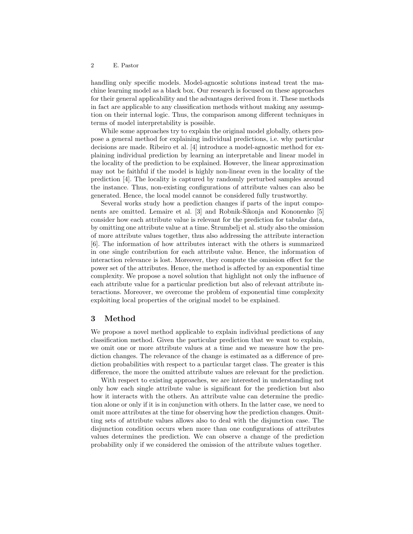#### 2 E. Pastor

handling only specific models. Model-agnostic solutions instead treat the machine learning model as a black box. Our research is focused on these approaches for their general applicability and the advantages derived from it. These methods in fact are applicable to any classification methods without making any assumption on their internal logic. Thus, the comparison among different techniques in terms of model interpretability is possible.

While some approaches try to explain the original model globally, others propose a general method for explaining individual predictions, i.e. why particular decisions are made. Ribeiro et al. [4] introduce a model-agnostic method for explaining individual prediction by learning an interpretable and linear model in the locality of the prediction to be explained. However, the linear approximation may not be faithful if the model is highly non-linear even in the locality of the prediction [4]. The locality is captured by randomly perturbed samples around the instance. Thus, non-existing configurations of attribute values can also be generated. Hence, the local model cannot be considered fully trustworthy.

Several works study how a prediction changes if parts of the input components are omitted. Lemaire et al.  $[3]$  and Robnik-Sikonja and Kononenko  $[5]$ consider how each attribute value is relevant for the prediction for tabular data, by omitting one attribute value at a time. Strumbelj et al. study also the omission of more attribute values together, thus also addressing the attribute interaction [6]. The information of how attributes interact with the others is summarized in one single contribution for each attribute value. Hence, the information of interaction relevance is lost. Moreover, they compute the omission effect for the power set of the attributes. Hence, the method is affected by an exponential time complexity. We propose a novel solution that highlight not only the influence of each attribute value for a particular prediction but also of relevant attribute interactions. Moreover, we overcome the problem of exponential time complexity exploiting local properties of the original model to be explained.

### 3 Method

We propose a novel method applicable to explain individual predictions of any classification method. Given the particular prediction that we want to explain, we omit one or more attribute values at a time and we measure how the prediction changes. The relevance of the change is estimated as a difference of prediction probabilities with respect to a particular target class. The greater is this difference, the more the omitted attribute values are relevant for the prediction.

With respect to existing approaches, we are interested in understanding not only how each single attribute value is significant for the prediction but also how it interacts with the others. An attribute value can determine the prediction alone or only if it is in conjunction with others. In the latter case, we need to omit more attributes at the time for observing how the prediction changes. Omitting sets of attribute values allows also to deal with the disjunction case. The disjunction condition occurs when more than one configurations of attributes values determines the prediction. We can observe a change of the prediction probability only if we considered the omission of the attribute values together.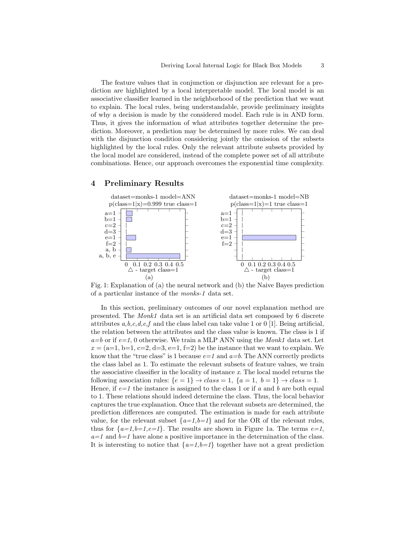The feature values that in conjunction or disjunction are relevant for a prediction are highlighted by a local interpretable model. The local model is an associative classifier learned in the neighborhood of the prediction that we want to explain. The local rules, being understandable, provide preliminary insights of why a decision is made by the considered model. Each rule is in AND form. Thus, it gives the information of what attributes together determine the prediction. Moreover, a prediction may be determined by more rules. We can deal with the disjunction condition considering jointly the omission of the subsets highlighted by the local rules. Only the relevant attribute subsets provided by the local model are considered, instead of the complete power set of all attribute combinations. Hence, our approach overcomes the exponential time complexity.

#### 4 Preliminary Results



Fig. 1: Explanation of (a) the neural network and (b) the Naive Bayes prediction of a particular instance of the monks-1 data set.

In this section, preliminary outcomes of our novel explanation method are presented. The Monk1 data set is an artificial data set composed by 6 discrete attributes  $a, b, c, d, e, f$  and the class label can take value 1 or 0 [1]. Being artificial, the relation between the attributes and the class value is known. The class is 1 if  $a=b$  or if  $e=1$ , 0 otherwise. We train a MLP ANN using the *Monk1* data set. Let  $x = (a=1, b=1, c=2, d=3, e=1, f=2)$  be the instance that we want to explain. We know that the "true class" is 1 because  $e=1$  and  $a=b$ . The ANN correctly predicts the class label as 1. To estimate the relevant subsets of feature values, we train the associative classifier in the locality of instance x. The local model returns the following association rules:  $\{e = 1\} \rightarrow class = 1, \{a = 1, b = 1\} \rightarrow class = 1.$ Hence, if  $e=1$  the instance is assigned to the class 1 or if a and b are both equal to 1. These relations should indeed determine the class. Thus, the local behavior captures the true explanation. Once that the relevant subsets are determined, the prediction differences are computed. The estimation is made for each attribute value, for the relevant subset  $\{a=1,b=1\}$  and for the OR of the relevant rules, thus for  $\{a=1,b=1,e=1\}$ . The results are shown in Figure 1a. The terms  $e=1$ ,  $a=1$  and  $b=1$  have alone a positive importance in the determination of the class. It is interesting to notice that  $\{a=1,b=1\}$  together have not a great prediction